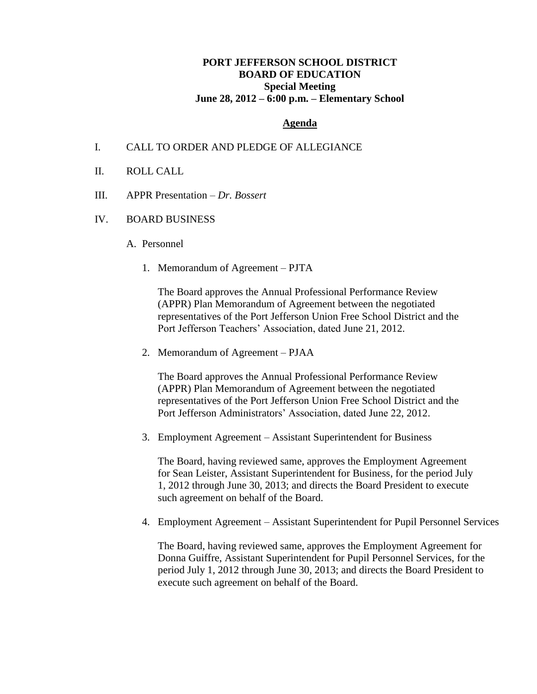# **PORT JEFFERSON SCHOOL DISTRICT BOARD OF EDUCATION Special Meeting June 28, 2012 – 6:00 p.m. – Elementary School**

### **Agenda**

#### I. CALL TO ORDER AND PLEDGE OF ALLEGIANCE

- II. ROLL CALL
- III. APPR Presentation *Dr. Bossert*
- IV. BOARD BUSINESS
	- A. Personnel
		- 1. Memorandum of Agreement PJTA

The Board approves the Annual Professional Performance Review (APPR) Plan Memorandum of Agreement between the negotiated representatives of the Port Jefferson Union Free School District and the Port Jefferson Teachers' Association, dated June 21, 2012.

2. Memorandum of Agreement – PJAA

The Board approves the Annual Professional Performance Review (APPR) Plan Memorandum of Agreement between the negotiated representatives of the Port Jefferson Union Free School District and the Port Jefferson Administrators' Association, dated June 22, 2012.

3. Employment Agreement – Assistant Superintendent for Business

The Board, having reviewed same, approves the Employment Agreement for Sean Leister, Assistant Superintendent for Business, for the period July 1, 2012 through June 30, 2013; and directs the Board President to execute such agreement on behalf of the Board.

4. Employment Agreement – Assistant Superintendent for Pupil Personnel Services

The Board, having reviewed same, approves the Employment Agreement for Donna Guiffre, Assistant Superintendent for Pupil Personnel Services, for the period July 1, 2012 through June 30, 2013; and directs the Board President to execute such agreement on behalf of the Board.